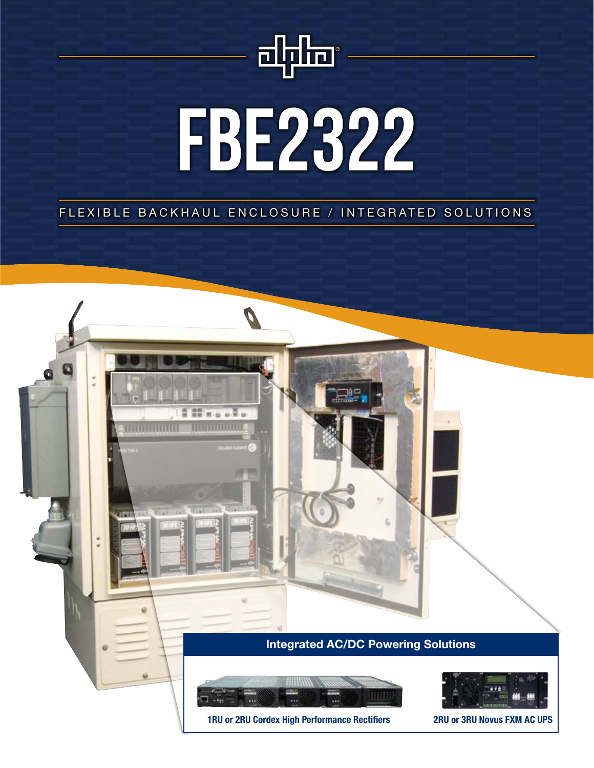

# FBE2322

FLEXIBLE BACKHAUL ENCLOSURE / INTEGRATED SOLUTIONS

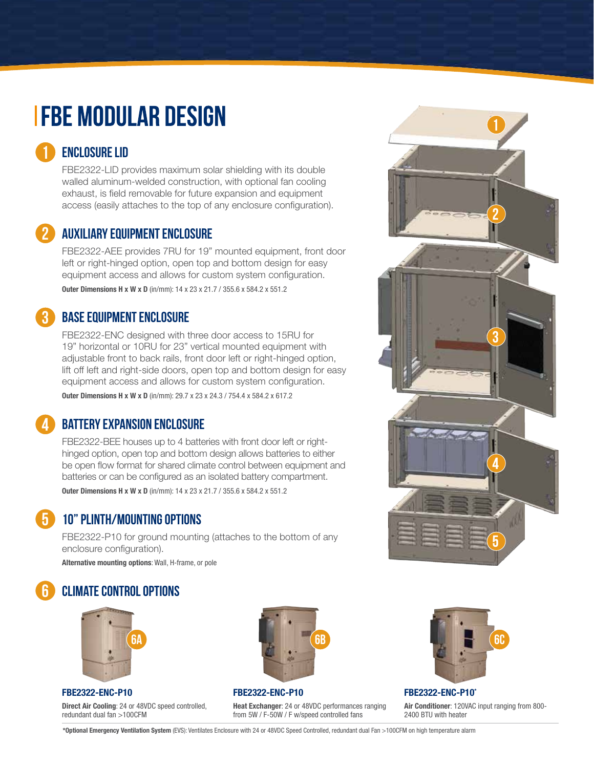## **IFBE MODULAR DESIGN**

#### Enclosure Lid

1

2

4

FBE2322-LID provides maximum solar shielding with its double walled aluminum-welded construction, with optional fan cooling exhaust, is field removable for future expansion and equipment access (easily attaches to the top of any enclosure configuration).

#### Auxiliary Equipment Enclosure

FBE2322-AEE provides 7RU for 19" mounted equipment, front door left or right-hinged option, open top and bottom design for easy equipment access and allows for custom system configuration. Outer Dimensions H x W x D (in/mm): 14 x 23 x 21.7 / 355.6 x 584.2 x 551.2

#### Base Equipment Enclosure 3

FBE2322-ENC designed with three door access to 15RU for 19" horizontal or 10RU for 23" vertical mounted equipment with adjustable front to back rails, front door left or right-hinged option, lift off left and right-side doors, open top and bottom design for easy equipment access and allows for custom system configuration. Outer Dimensions H x W x D (in/mm): 29.7 x 23 x 24.3 / 754.4 x 584.2 x 617.2

#### Battery Expansion Enclosure

FBE2322-BEE houses up to 4 batteries with front door left or righthinged option, open top and bottom design allows batteries to either be open flow format for shared climate control between equipment and batteries or can be configured as an isolated battery compartment. Outer Dimensions H x W x D (in/mm): 14 x 23 x 21.7 / 355.6 x 584.2 x 551.2

#### 10" PLINTH/MOUNTING OPTIONS 5

FBE2322-P10 for ground mounting (attaches to the bottom of any enclosure configuration).

Alternative mounting options: Wall, H-frame, or pole

#### climate control options 6



#### FBE2322-ENC-P10

Direct Air Cooling: 24 or 48VDC speed controlled. redundant dual fan >100CFM



#### FBE2322-ENC-P10

Heat Exchanger: 24 or 48VDC performances ranging from 5W / F-50W / F w/speed controlled fans



FBE2322-ENC-P10\*

Air Conditioner: 120VAC input ranging from 800- 2400 BTU with heater



\*Optional Emergency Ventilation System (EVS): Ventilates Enclosure with 24 or 48VDC Speed Controlled, redundant dual Fan >100CFM on high temperature alarm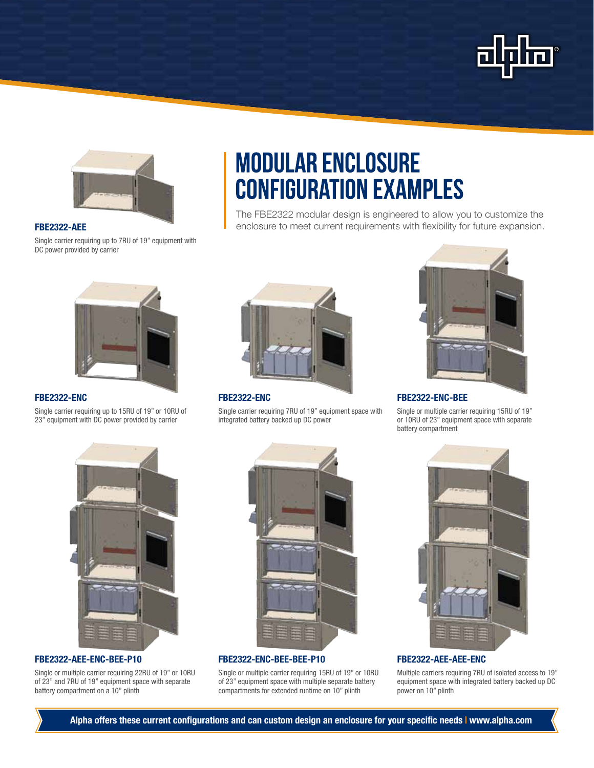



#### FBE2322-AEE

Single carrier requiring up to 7RU of 19" equipment with DC power provided by carrier



#### FBE2322-ENC

Single carrier requiring up to 15RU of 19" or 10RU of 23" equipment with DC power provided by carrier



**MODULAR ENCLOSURE** 

**CONFIGURATION EXAMPLES** 

**FRE2322-ENC** 

Single carrier requiring 7RU of 19" equipment space with integrated battery backed up DC power



#### FBE2322-ENC-BEE

The FBE2322 modular design is engineered to allow you to customize the enclosure to meet current requirements with flexibility for future expansion.

> Single or multiple carrier requiring 15RU of 19" or 10RU of 23" equipment space with separate battery compartment



#### FBE2322-AEE-ENC-BEE-P10

Single or multiple carrier requiring 22RU of 19" or 10RU of 23" and 7RU of 19" equipment space with separate battery compartment on a 10" plinth



#### FBE2322-ENC-BEE-BEE-P10

Single or multiple carrier requiring 15RU of 19" or 10RU of 23" equipment space with multiple separate battery compartments for extended runtime on 10" plinth



FBE2322-AEE-AEE-ENC

Multiple carriers requiring 7RU of isolated access to 19" equipment space with integrated battery backed up DC power on 10" plinth